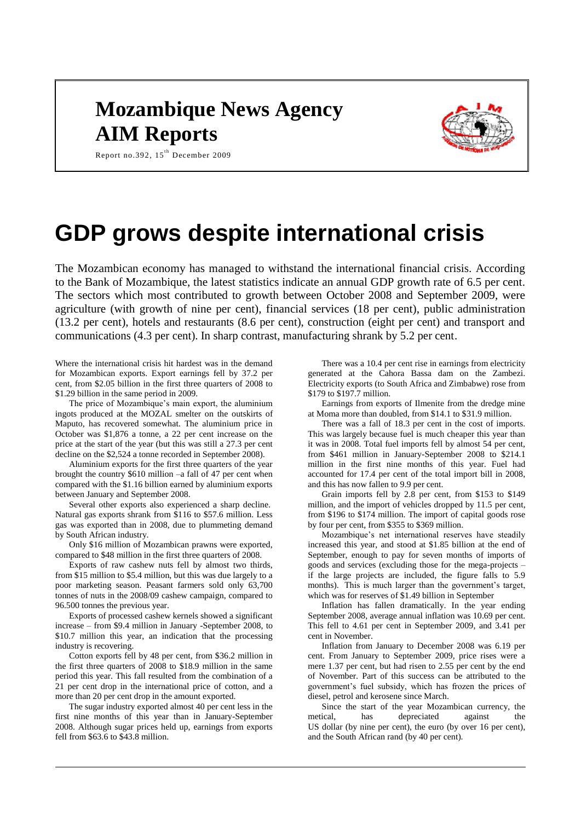# **Mozambique News Agency AIM Reports**



Report no.392, 15<sup>th</sup> December 2009

# **GDP grows despite international crisis**

The Mozambican economy has managed to withstand the international financial crisis. According to the Bank of Mozambique, the latest statistics indicate an annual GDP growth rate of 6.5 per cent. The sectors which most contributed to growth between October 2008 and September 2009, were agriculture (with growth of nine per cent), financial services (18 per cent), public administration (13.2 per cent), hotels and restaurants (8.6 per cent), construction (eight per cent) and transport and communications (4.3 per cent). In sharp contrast, manufacturing shrank by 5.2 per cent.

Where the international crisis hit hardest was in the demand for Mozambican exports. Export earnings fell by 37.2 per cent, from \$2.05 billion in the first three quarters of 2008 to \$1.29 billion in the same period in 2009.

The price of Mozambique's main export, the aluminium ingots produced at the MOZAL smelter on the outskirts of Maputo, has recovered somewhat. The aluminium price in October was \$1,876 a tonne, a 22 per cent increase on the price at the start of the year (but this was still a 27.3 per cent decline on the \$2,524 a tonne recorded in September 2008).

Aluminium exports for the first three quarters of the year brought the country \$610 million –a fall of 47 per cent when compared with the \$1.16 billion earned by aluminium exports between January and September 2008.

Several other exports also experienced a sharp decline. Natural gas exports shrank from \$116 to \$57.6 million. Less gas was exported than in 2008, due to plummeting demand by South African industry.

Only \$16 million of Mozambican prawns were exported, compared to \$48 million in the first three quarters of 2008.

Exports of raw cashew nuts fell by almost two thirds, from \$15 million to \$5.4 million, but this was due largely to a poor marketing season. Peasant farmers sold only 63,700 tonnes of nuts in the 2008/09 cashew campaign, compared to 96.500 tonnes the previous year.

Exports of processed cashew kernels showed a significant increase – from \$9.4 million in January -September 2008, to \$10.7 million this year, an indication that the processing industry is recovering.

Cotton exports fell by 48 per cent, from \$36.2 million in the first three quarters of 2008 to \$18.9 million in the same period this year. This fall resulted from the combination of a 21 per cent drop in the international price of cotton, and a more than 20 per cent drop in the amount exported.

The sugar industry exported almost 40 per cent less in the first nine months of this year than in January-September 2008. Although sugar prices held up, earnings from exports fell from \$63.6 to \$43.8 million.

There was a 10.4 per cent rise in earnings from electricity generated at the Cahora Bassa dam on the Zambezi. Electricity exports (to South Africa and Zimbabwe) rose from \$179 to \$197.7 million.

Earnings from exports of Ilmenite from the dredge mine at Moma more than doubled, from \$14.1 to \$31.9 million.

There was a fall of 18.3 per cent in the cost of imports. This was largely because fuel is much cheaper this year than it was in 2008. Total fuel imports fell by almost 54 per cent, from \$461 million in January-September 2008 to \$214.1 million in the first nine months of this year. Fuel had accounted for 17.4 per cent of the total import bill in 2008, and this has now fallen to 9.9 per cent.

Grain imports fell by 2.8 per cent, from \$153 to \$149 million, and the import of vehicles dropped by 11.5 per cent, from \$196 to \$174 million. The import of capital goods rose by four per cent, from \$355 to \$369 million.

Mozambique's net international reserves have steadily increased this year, and stood at \$1.85 billion at the end of September, enough to pay for seven months of imports of goods and services (excluding those for the mega-projects – if the large projects are included, the figure falls to 5.9 months). This is much larger than the government's target, which was for reserves of \$1.49 billion in September

Inflation has fallen dramatically. In the year ending September 2008, average annual inflation was 10.69 per cent. This fell to 4.61 per cent in September 2009, and 3.41 per cent in November.

Inflation from January to December 2008 was 6.19 per cent. From January to September 2009, price rises were a mere 1.37 per cent, but had risen to 2.55 per cent by the end of November. Part of this success can be attributed to the government's fuel subsidy, which has frozen the prices of diesel, petrol and kerosene since March.

Since the start of the year Mozambican currency, the metical, has depreciated against the US dollar (by nine per cent), the euro (by over 16 per cent), and the South African rand (by 40 per cent).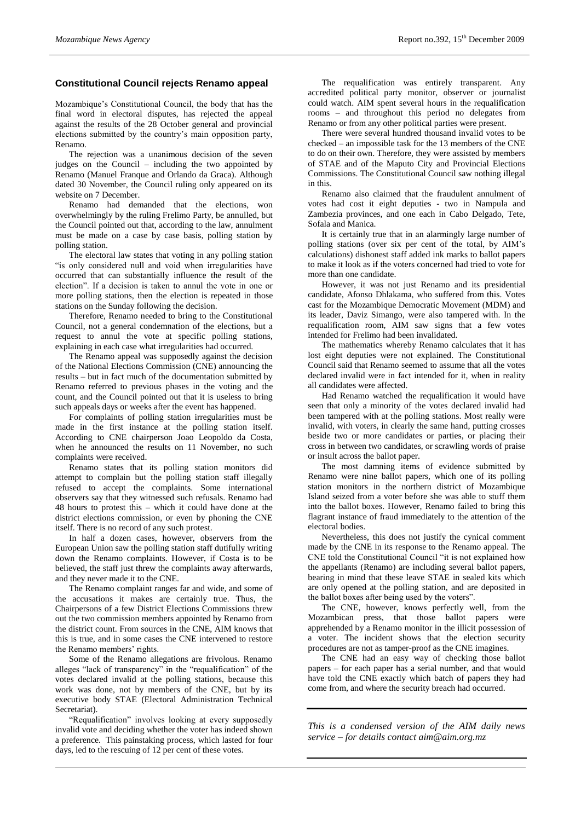#### **Constitutional Council rejects Renamo appeal**

Mozambique's Constitutional Council, the body that has the final word in electoral disputes, has rejected the appeal against the results of the 28 October general and provincial elections submitted by the country's main opposition party, Renamo.

The rejection was a unanimous decision of the seven judges on the Council – including the two appointed by Renamo (Manuel Franque and Orlando da Graca). Although dated 30 November, the Council ruling only appeared on its website on 7 December.

Renamo had demanded that the elections, won overwhelmingly by the ruling Frelimo Party, be annulled, but the Council pointed out that, according to the law, annulment must be made on a case by case basis, polling station by polling station.

The electoral law states that voting in any polling station "is only considered null and void when irregularities have occurred that can substantially influence the result of the election". If a decision is taken to annul the vote in one or more polling stations, then the election is repeated in those stations on the Sunday following the decision.

Therefore, Renamo needed to bring to the Constitutional Council, not a general condemnation of the elections, but a request to annul the vote at specific polling stations, explaining in each case what irregularities had occurred.

The Renamo appeal was supposedly against the decision of the National Elections Commission (CNE) announcing the results – but in fact much of the documentation submitted by Renamo referred to previous phases in the voting and the count, and the Council pointed out that it is useless to bring such appeals days or weeks after the event has happened.

For complaints of polling station irregularities must be made in the first instance at the polling station itself. According to CNE chairperson Joao Leopoldo da Costa, when he announced the results on 11 November, no such complaints were received.

Renamo states that its polling station monitors did attempt to complain but the polling station staff illegally refused to accept the complaints. Some international observers say that they witnessed such refusals. Renamo had 48 hours to protest this – which it could have done at the district elections commission, or even by phoning the CNE itself. There is no record of any such protest.

In half a dozen cases, however, observers from the European Union saw the polling station staff dutifully writing down the Renamo complaints. However, if Costa is to be believed, the staff just threw the complaints away afterwards, and they never made it to the CNE.

The Renamo complaint ranges far and wide, and some of the accusations it makes are certainly true. Thus, the Chairpersons of a few District Elections Commissions threw out the two commission members appointed by Renamo from the district count. From sources in the CNE, AIM knows that this is true, and in some cases the CNE intervened to restore the Renamo members' rights.

Some of the Renamo allegations are frivolous. Renamo alleges "lack of transparency" in the "requalification" of the votes declared invalid at the polling stations, because this work was done, not by members of the CNE, but by its executive body STAE (Electoral Administration Technical Secretariat).

"Requalification" involves looking at every supposedly invalid vote and deciding whether the voter has indeed shown a preference. This painstaking process, which lasted for four days, led to the rescuing of 12 per cent of these votes.

The requalification was entirely transparent. Any accredited political party monitor, observer or journalist could watch. AIM spent several hours in the requalification rooms – and throughout this period no delegates from Renamo or from any other political parties were present.

There were several hundred thousand invalid votes to be checked – an impossible task for the 13 members of the CNE to do on their own. Therefore, they were assisted by members of STAE and of the Maputo City and Provincial Elections Commissions. The Constitutional Council saw nothing illegal in this.

Renamo also claimed that the fraudulent annulment of votes had cost it eight deputies - two in Nampula and Zambezia provinces, and one each in Cabo Delgado, Tete, Sofala and Manica.

It is certainly true that in an alarmingly large number of polling stations (over six per cent of the total, by AIM's calculations) dishonest staff added ink marks to ballot papers to make it look as if the voters concerned had tried to vote for more than one candidate.

However, it was not just Renamo and its presidential candidate, Afonso Dhlakama, who suffered from this. Votes cast for the Mozambique Democratic Movement (MDM) and its leader, Daviz Simango, were also tampered with. In the requalification room, AIM saw signs that a few votes intended for Frelimo had been invalidated.

The mathematics whereby Renamo calculates that it has lost eight deputies were not explained. The Constitutional Council said that Renamo seemed to assume that all the votes declared invalid were in fact intended for it, when in reality all candidates were affected.

Had Renamo watched the requalification it would have seen that only a minority of the votes declared invalid had been tampered with at the polling stations. Most really were invalid, with voters, in clearly the same hand, putting crosses beside two or more candidates or parties, or placing their cross in between two candidates, or scrawling words of praise or insult across the ballot paper.

The most damning items of evidence submitted by Renamo were nine ballot papers, which one of its polling station monitors in the northern district of Mozambique Island seized from a voter before she was able to stuff them into the ballot boxes. However, Renamo failed to bring this flagrant instance of fraud immediately to the attention of the electoral bodies.

Nevertheless, this does not justify the cynical comment made by the CNE in its response to the Renamo appeal. The CNE told the Constitutional Council "it is not explained how the appellants (Renamo) are including several ballot papers, bearing in mind that these leave STAE in sealed kits which are only opened at the polling station, and are deposited in the ballot boxes after being used by the voters".

The CNE, however, knows perfectly well, from the Mozambican press, that those ballot papers were apprehended by a Renamo monitor in the illicit possession of a voter. The incident shows that the election security procedures are not as tamper-proof as the CNE imagines.

The CNE had an easy way of checking those ballot papers – for each paper has a serial number, and that would have told the CNE exactly which batch of papers they had come from, and where the security breach had occurred.

*This is a condensed version of the AIM daily news service – for details contact aim@aim.org.mz*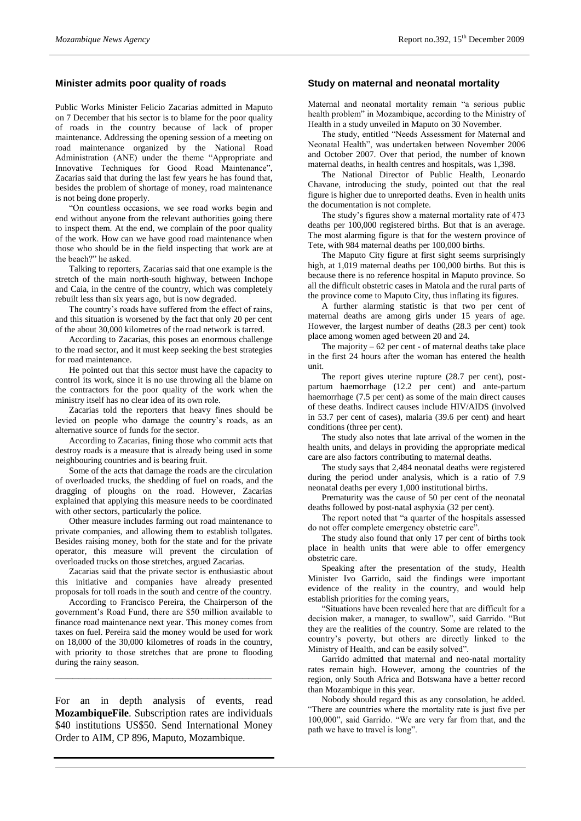## **Minister admits poor quality of roads**

Public Works Minister Felicio Zacarias admitted in Maputo on 7 December that his sector is to blame for the poor quality of roads in the country because of lack of proper maintenance. Addressing the opening session of a meeting on road maintenance organized by the National Road Administration (ANE) under the theme "Appropriate and Innovative Techniques for Good Road Maintenance", Zacarias said that during the last few years he has found that, besides the problem of shortage of money, road maintenance is not being done properly.

"On countless occasions, we see road works begin and end without anyone from the relevant authorities going there to inspect them. At the end, we complain of the poor quality of the work. How can we have good road maintenance when those who should be in the field inspecting that work are at the beach?" he asked.

Talking to reporters, Zacarias said that one example is the stretch of the main north-south highway, between Inchope and Caia, in the centre of the country, which was completely rebuilt less than six years ago, but is now degraded.

The country's roads have suffered from the effect of rains, and this situation is worsened by the fact that only 20 per cent of the about 30,000 kilometres of the road network is tarred.

According to Zacarias, this poses an enormous challenge to the road sector, and it must keep seeking the best strategies for road maintenance.

He pointed out that this sector must have the capacity to control its work, since it is no use throwing all the blame on the contractors for the poor quality of the work when the ministry itself has no clear idea of its own role.

Zacarias told the reporters that heavy fines should be levied on people who damage the country's roads, as an alternative source of funds for the sector.

According to Zacarias, fining those who commit acts that destroy roads is a measure that is already being used in some neighbouring countries and is bearing fruit.

Some of the acts that damage the roads are the circulation of overloaded trucks, the shedding of fuel on roads, and the dragging of ploughs on the road. However, Zacarias explained that applying this measure needs to be coordinated with other sectors, particularly the police.

Other measure includes farming out road maintenance to private companies, and allowing them to establish tollgates. Besides raising money, both for the state and for the private operator, this measure will prevent the circulation of overloaded trucks on those stretches, argued Zacarias.

Zacarias said that the private sector is enthusiastic about this initiative and companies have already presented proposals for toll roads in the south and centre of the country.

According to Francisco Pereira, the Chairperson of the government's Road Fund, there are \$50 million available to finance road maintenance next year. This money comes from taxes on fuel. Pereira said the money would be used for work on 18,000 of the 30,000 kilometres of roads in the country, with priority to those stretches that are prone to flooding during the rainy season.

\_\_\_\_\_\_\_\_\_\_\_\_\_\_\_\_\_\_\_\_\_\_\_\_\_\_\_\_\_\_\_\_\_\_\_\_\_

For an in depth analysis of events, read **MozambiqueFile**. Subscription rates are individuals \$40 institutions US\$50. Send International Money Order to AIM, CP 896, Maputo, Mozambique.

### **Study on maternal and neonatal mortality**

Maternal and neonatal mortality remain "a serious public health problem" in Mozambique, according to the Ministry of Health in a study unveiled in Maputo on 30 November.

The study, entitled "Needs Assessment for Maternal and Neonatal Health", was undertaken between November 2006 and October 2007. Over that period, the number of known maternal deaths, in health centres and hospitals, was 1,398.

The National Director of Public Health, Leonardo Chavane, introducing the study, pointed out that the real figure is higher due to unreported deaths. Even in health units the documentation is not complete.

The study's figures show a maternal mortality rate of 473 deaths per 100,000 registered births. But that is an average. The most alarming figure is that for the western province of Tete, with 984 maternal deaths per 100,000 births.

The Maputo City figure at first sight seems surprisingly high, at 1,019 maternal deaths per 100,000 births. But this is because there is no reference hospital in Maputo province. So all the difficult obstetric cases in Matola and the rural parts of the province come to Maputo City, thus inflating its figures.

A further alarming statistic is that two per cent of maternal deaths are among girls under 15 years of age. However, the largest number of deaths (28.3 per cent) took place among women aged between 20 and 24.

The majority  $-62$  per cent - of maternal deaths take place in the first 24 hours after the woman has entered the health unit.

The report gives uterine rupture (28.7 per cent), postpartum haemorrhage (12.2 per cent) and ante-partum haemorrhage (7.5 per cent) as some of the main direct causes of these deaths. Indirect causes include HIV/AIDS (involved in 53.7 per cent of cases), malaria (39.6 per cent) and heart conditions (three per cent).

The study also notes that late arrival of the women in the health units, and delays in providing the appropriate medical care are also factors contributing to maternal deaths.

The study says that 2,484 neonatal deaths were registered during the period under analysis, which is a ratio of 7.9 neonatal deaths per every 1,000 institutional births.

Prematurity was the cause of 50 per cent of the neonatal deaths followed by post-natal asphyxia (32 per cent).

The report noted that "a quarter of the hospitals assessed do not offer complete emergency obstetric care".

The study also found that only 17 per cent of births took place in health units that were able to offer emergency obstetric care.

Speaking after the presentation of the study, Health Minister Ivo Garrido, said the findings were important evidence of the reality in the country, and would help establish priorities for the coming years,

"Situations have been revealed here that are difficult for a decision maker, a manager, to swallow", said Garrido. "But they are the realities of the country. Some are related to the country's poverty, but others are directly linked to the Ministry of Health, and can be easily solved".

Garrido admitted that maternal and neo-natal mortality rates remain high. However, among the countries of the region, only South Africa and Botswana have a better record than Mozambique in this year.

Nobody should regard this as any consolation, he added. "There are countries where the mortality rate is just five per 100,000", said Garrido. "We are very far from that, and the path we have to travel is long".